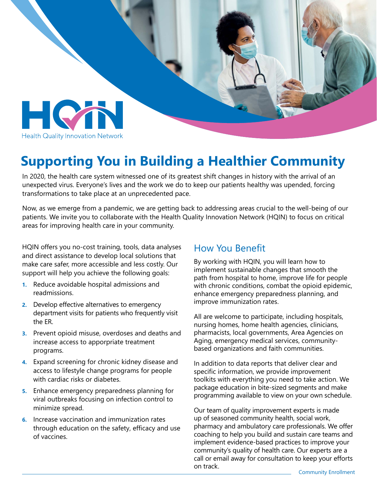

## **Supporting You in Building a Healthier Community**

In 2020, the health care system witnessed one of its greatest shift changes in history with the arrival of an unexpected virus. Everyone's lives and the work we do to keep our patients healthy was upended, forcing transformations to take place at an unprecedented pace.

Now, as we emerge from a pandemic, we are getting back to addressing areas crucial to the well-being of our patients. We invite you to collaborate with the Health Quality Innovation Network (HQIN) to focus on critical areas for improving health care in your community.

HQIN offers you no-cost training, tools, data analyses and direct assistance to develop local solutions that make care safer, more accessible and less costly. Our support will help you achieve the following goals:

- **1.** Reduce avoidable hospital admissions and readmissions.
- **2.** Develop effective alternatives to emergency department visits for patients who frequently visit the ER.
- **3.** Prevent opioid misuse, overdoses and deaths and increase access to apporpriate treatment programs.
- **4.** Expand screening for chronic kidney disease and access to lifestyle change programs for people with cardiac risks or diabetes.
- **5.** Enhance emergency preparedness planning for viral outbreaks focusing on infection control to minimize spread.
- **6.** Increase vaccination and immunization rates through education on the safety, efficacy and use of vaccines.

#### How You Benefit

By working with HQIN, you will learn how to implement sustainable changes that smooth the path from hospital to home, improve life for people with chronic conditions, combat the opioid epidemic, enhance emergency preparedness planning, and improve immunization rates.

All are welcome to participate, including hospitals, nursing homes, home health agencies, clinicians, pharmacists, local governments, Area Agencies on Aging, emergency medical services, communitybased organizations and faith communities.

In addition to data reports that deliver clear and specific information, we provide improvement toolkits with everything you need to take action. We package education in bite-sized segments and make programming available to view on your own schedule.

Our team of quality improvement experts is made up of seasoned community health, social work, pharmacy and ambulatory care professionals. We offer coaching to help you build and sustain care teams and implement evidence-based practices to improve your community's quality of health care. Our experts are a call or email away for consultation to keep your efforts on track.